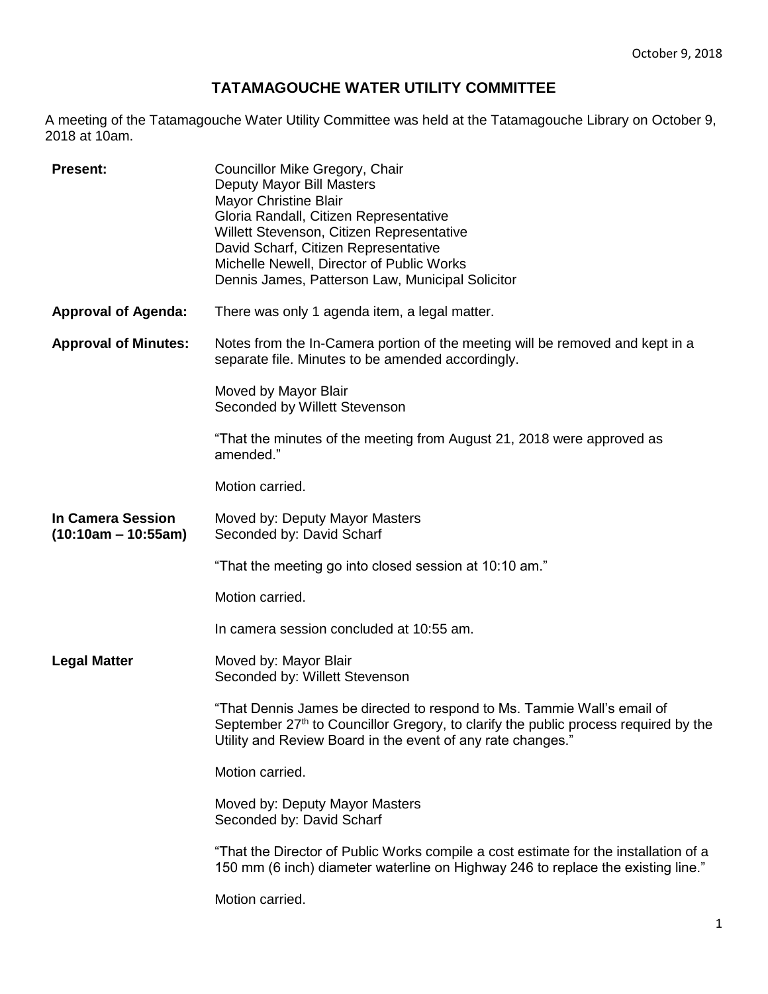## **TATAMAGOUCHE WATER UTILITY COMMITTEE**

A meeting of the Tatamagouche Water Utility Committee was held at the Tatamagouche Library on October 9, 2018 at 10am.

| <b>Present:</b>                                   | Councillor Mike Gregory, Chair<br>Deputy Mayor Bill Masters<br><b>Mayor Christine Blair</b><br>Gloria Randall, Citizen Representative<br>Willett Stevenson, Citizen Representative<br>David Scharf, Citizen Representative<br>Michelle Newell, Director of Public Works<br>Dennis James, Patterson Law, Municipal Solicitor |
|---------------------------------------------------|-----------------------------------------------------------------------------------------------------------------------------------------------------------------------------------------------------------------------------------------------------------------------------------------------------------------------------|
| <b>Approval of Agenda:</b>                        | There was only 1 agenda item, a legal matter.                                                                                                                                                                                                                                                                               |
| <b>Approval of Minutes:</b>                       | Notes from the In-Camera portion of the meeting will be removed and kept in a<br>separate file. Minutes to be amended accordingly.                                                                                                                                                                                          |
|                                                   | Moved by Mayor Blair<br>Seconded by Willett Stevenson                                                                                                                                                                                                                                                                       |
|                                                   | "That the minutes of the meeting from August 21, 2018 were approved as<br>amended."                                                                                                                                                                                                                                         |
|                                                   | Motion carried.                                                                                                                                                                                                                                                                                                             |
| <b>In Camera Session</b><br>$(10:10am - 10:55am)$ | Moved by: Deputy Mayor Masters<br>Seconded by: David Scharf                                                                                                                                                                                                                                                                 |
|                                                   | "That the meeting go into closed session at 10:10 am."                                                                                                                                                                                                                                                                      |
|                                                   | Motion carried.                                                                                                                                                                                                                                                                                                             |
|                                                   | In camera session concluded at 10:55 am.                                                                                                                                                                                                                                                                                    |
| <b>Legal Matter</b>                               | Moved by: Mayor Blair<br>Seconded by: Willett Stevenson                                                                                                                                                                                                                                                                     |
|                                                   | "That Dennis James be directed to respond to Ms. Tammie Wall's email of<br>September 27 <sup>th</sup> to Councillor Gregory, to clarify the public process required by the<br>Utility and Review Board in the event of any rate changes."                                                                                   |
|                                                   | Motion carried.                                                                                                                                                                                                                                                                                                             |
|                                                   | Moved by: Deputy Mayor Masters<br>Seconded by: David Scharf                                                                                                                                                                                                                                                                 |
|                                                   | "That the Director of Public Works compile a cost estimate for the installation of a<br>150 mm (6 inch) diameter waterline on Highway 246 to replace the existing line."                                                                                                                                                    |
|                                                   | Motion carried.                                                                                                                                                                                                                                                                                                             |